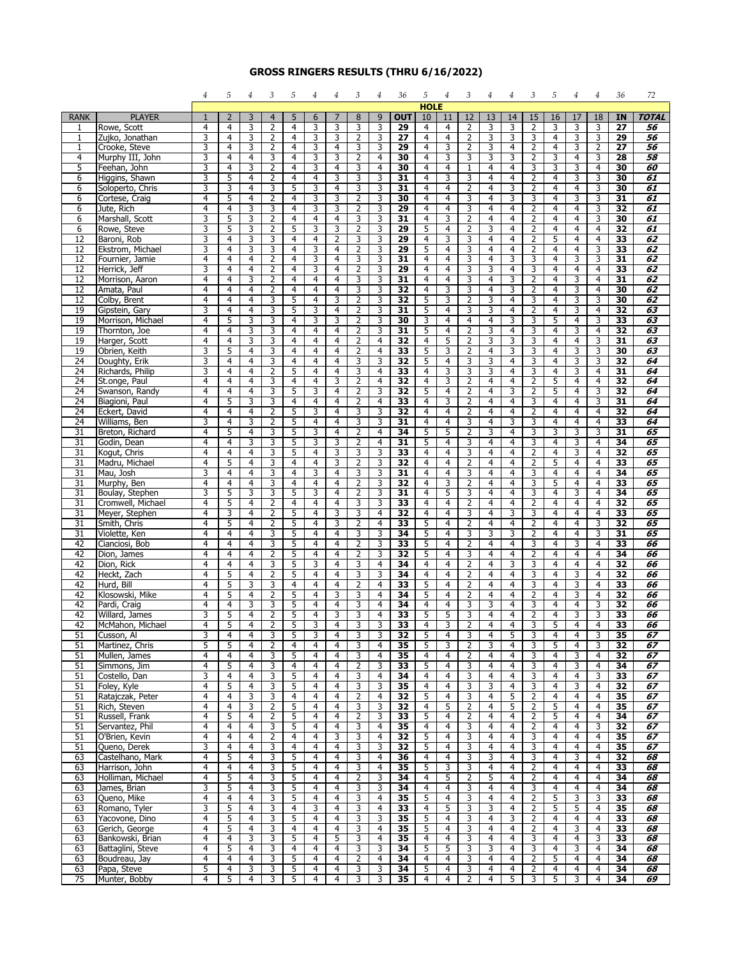## **GROSS RINGERS RESULTS (THRU 6/16/2022)**

|                       |                                   | 4                   | 5                       | 4                   | 3                   | 5                                | 4                   | 4              | 3                   | 4                   | 36                    | 5              | 4                   | 3                                | $\overline{4}$                   | 4                   | 3                                | 5                   | 4                   | 4                                | 36              | 72                 |
|-----------------------|-----------------------------------|---------------------|-------------------------|---------------------|---------------------|----------------------------------|---------------------|----------------|---------------------|---------------------|-----------------------|----------------|---------------------|----------------------------------|----------------------------------|---------------------|----------------------------------|---------------------|---------------------|----------------------------------|-----------------|--------------------|
|                       |                                   |                     |                         |                     |                     |                                  |                     |                |                     |                     |                       | <b>HOLE</b>    |                     |                                  |                                  |                     |                                  |                     |                     |                                  |                 |                    |
| <b>RANK</b><br>1      | <b>PLAYER</b><br>Rowe, Scott      | 1<br>4              | $\overline{2}$<br>4     | 3<br>3              | $\overline{4}$<br>2 | 5<br>4                           | 6<br>3              | 7<br>3         | 8<br>3              | 9<br>3              | <b>OUT</b><br>29      | 10<br>4        | 11<br>4             | 12<br>2                          | 13<br>3                          | 14<br>3             | 15<br>2                          | 16<br>3             | 17<br>3             | 18<br>3                          | IN<br>27        | <b>TOTAL</b><br>56 |
| 1                     | Zujko, Jonathan                   | 3                   | 4                       | 3                   | 2                   | $\overline{4}$                   | 3                   | 3              | $\overline{2}$      | 3                   | 27                    | 4              | 4                   | $\overline{2}$                   | 3                                | 3                   | 3                                | 4                   | 3                   | 3                                | 29              | 56                 |
| $\mathbf{1}$          | Crooke, Steve                     | 3                   | 4                       | 3                   | 2                   | 4                                | 3                   | 4              | 3                   | 3                   | 29                    | 4              | 3                   | $\overline{2}$                   | 3                                | 4                   | $\overline{2}$                   | 4                   | 3                   | $\overline{2}$                   | 27              | 56                 |
| $\overline{4}$        | Murphy III, John                  | 3                   | $\overline{4}$          | $\overline{4}$      | 3                   | 4                                | 3                   | 3              | $\overline{2}$      | $\overline{4}$      | 30                    | $\overline{4}$ | 3                   | 3                                | 3                                | 3                   | $\overline{2}$                   | 3                   | $\overline{4}$      | 3                                | $\overline{28}$ | 58                 |
| 5                     | Feehan, John                      | 3                   | 4                       | 3                   | $\overline{2}$      | 4                                | 3                   | 4              | 3                   | 4                   | 30                    | 4              | 4                   | $\mathbf{1}$                     | 4                                | 4                   | 3                                | 3                   | 3                   | 4                                | 30              | 60                 |
| 6                     | Higgins, Shawn                    | 3                   | 5                       | 4                   | 2                   | 4                                | 4                   | 3              | 3                   | 3                   | 31                    | 4              | 3                   | 3                                | 4                                | 4                   | 2                                | 4                   | 3                   | 3                                | 30              | 61                 |
| 6                     | Soloperto, Chris                  | 3                   | 3                       | 4                   | 3                   | 5                                | 3                   | 4              | 3                   | 3                   | 31                    | 4              | 4                   | $\overline{2}$                   | 4                                | 3                   | 2                                | 4                   | 4                   | 3                                | 30              | 61                 |
| 6                     | Cortese, Craig                    | 4                   | 5                       | 4                   | $\overline{2}$      | 4                                | 3                   | 3              | 2                   | 3                   | 30                    | 4              | 4                   | 3                                | 4                                | 3                   | 3                                | 4                   | 3                   | 3                                | 31              | 61                 |
| 6<br>6                | Jute, Rich<br>Marshall, Scott     | 4<br>3              | 4<br>5                  | 3<br>3              | 3<br>$\overline{2}$ | $\overline{4}$<br>$\overline{4}$ | 3<br>$\overline{4}$ | 3<br>4         | 2<br>3              | 3<br>3              | 29<br>31              | 4<br>4         | $\overline{4}$<br>3 | 3<br>$\overline{2}$              | $\overline{4}$<br>$\overline{4}$ | $\overline{4}$<br>4 | $\overline{2}$<br>2              | 4<br>4              | $\overline{4}$<br>4 | $\overline{\mathbf{3}}$<br>3     | 32<br>30        | 61<br>61           |
| 6                     | Rowe, Steve                       | 3                   | 5                       | 3                   | 2                   | 5                                | 3                   | 3              | 2                   | 3                   | 29                    | 5              | 4                   | 2                                | 3                                | 4                   | 2                                | 4                   | 4                   | $\overline{4}$                   | 32              | 61                 |
| 12                    | Baroni, Rob                       | 3                   | 4                       | 3                   | 3                   | 4                                | 4                   | 2              | 3                   | 3                   | 29                    | 4              | 3                   | 3                                | 4                                | 4                   | $\overline{2}$                   | 5                   | 4                   | 4                                | 33              | 62                 |
| 12                    | Ekstrom, Michael                  | 3                   | $\overline{4}$          | 3                   | 3                   | 4                                | 3                   | 4              | 2                   | 3                   | 29                    | 5              | 4                   | 3                                | $\overline{4}$                   | 4                   | 2                                | 4                   | 4                   | 3                                | 33              | 62                 |
| 12                    | Fournier, Jamie                   | 4                   | 4                       | $\overline{4}$      | $\overline{2}$      | $\overline{4}$                   | 3                   | $\overline{4}$ | 3                   | 3                   | 31                    | 4              | $\overline{4}$      | 3                                | $\overline{4}$                   | 3                   | $\overline{3}$                   | 4                   | 3                   | $\overline{\mathbf{3}}$          | 31              | 62                 |
| 12                    | Herrick, Jeff                     | 3                   | 4                       | 4                   | $\overline{2}$      | $\overline{4}$                   | 3                   | 4              | $\overline{2}$      | 3                   | 29                    | 4              | 4                   | 3                                | 3                                | 4                   | 3                                | 4                   | 4                   | 4                                | 33              | 62                 |
| 12                    | Morrison, Aaron                   | 4<br>4              | 4<br>4                  | 3                   | 2                   | 4                                | 4                   | 4              | 3                   | 3                   | 31                    | 4              | 4                   | 3                                | 4                                | 3                   | 2                                | 4                   | 3                   | 4<br>$\overline{4}$              | 31              | 62                 |
| 12<br>12              | Amata, Paul<br>Colby, Brent       | 4                   | $\overline{4}$          | $\overline{4}$<br>4 | 2<br>3              | $\overline{4}$<br>5              | 4<br>$\overline{4}$ | 4<br>3         | 3<br>2              | 3<br>3              | 32<br>32              | 4<br>5         | 3<br>3              | 3<br>2                           | 4<br>3                           | 3<br>4              | $\overline{2}$<br>3              | 4<br>4              | 3<br>3              | 3                                | 30<br>30        | 62<br>62           |
| 19                    | Gipstein, Gary                    | 3                   | 4                       | $\overline{4}$      | 3                   | 5                                | 3                   | $\overline{4}$ | $\overline{2}$      | 3                   | 31                    | 5              | $\overline{4}$      | 3                                | 3                                | $\overline{4}$      | $\overline{2}$                   | $\overline{4}$      | 3                   | $\overline{4}$                   | 32              | 63                 |
| 19                    | Morrison, Michael                 | 4                   | 5                       | 3                   | 3                   | 4                                | 3                   | 3              | 2                   | 3                   | 30                    | 3              | 4                   | 4                                | $\overline{4}$                   | 3                   | 3                                | 5                   | 4                   | 3                                | 33              | 63                 |
| 19                    | Thornton, Joe                     | 4                   | 4                       | 3                   | 3                   | 4                                | 4                   | 4              | 2                   | 3                   | 31                    | 5              | 4                   | 2                                | 3                                | 4                   | 3                                | 4                   | 3                   | $\overline{4}$                   | 32              | 63                 |
| 19                    | Harger, Scott                     | 4                   | 4                       | 3                   | 3                   | $\overline{4}$                   | 4                   | 4              | 2                   | 4                   | 32                    | $\overline{4}$ | 5                   | $\overline{2}$                   | 3                                | 3                   | 3                                | 4                   | 4                   | 3                                | 31              | 63                 |
| 19                    | Obrien, Keith                     | 3                   | 5                       | 4                   | 3                   | 4                                | 4                   | 4              | 2                   | 4                   | 33                    | 5              | 3                   | 2                                | 4                                | 3                   | 3                                | 4                   | 3                   | 3                                | 30              | 63                 |
| 24                    | Doughty, Erik                     | 3                   | $\overline{4}$          | $\overline{4}$      | $\overline{3}$      | $\overline{4}$                   | $\overline{4}$      | $\overline{4}$ | 3                   | 3                   | $\overline{32}$       | 5              | $\overline{4}$      | 3                                | 3                                | $\overline{4}$      | 3                                | 4                   | 3                   | 3                                | 32              | 64                 |
| $\overline{24}$<br>24 | Richards, Philip<br>St.onge, Paul | 3<br>4              | 4<br>4                  | 4<br>4              | $\overline{2}$<br>3 | 5<br>4                           | 4<br>4              | 4<br>3         | 3<br>2              | 4<br>4              | 33<br>32              | 4<br>4         | 3<br>3              | 3<br>2                           | 3<br>4                           | 4<br>4              | 3<br>$\overline{2}$              | 4<br>5              | 3<br>4              | 4<br>$\overline{4}$              | 31<br>32        | 64<br>64           |
| 24                    | Swanson, Randy                    | $\overline{4}$      | $\overline{\mathbf{4}}$ | 4                   | 3                   | 5                                | 3                   | 4              | $\overline{2}$      | 3                   | 32                    | 5              | 4                   | $\overline{2}$                   | $\overline{4}$                   | 3                   | 2                                | 5                   | 4                   | 3                                | 32              | 64                 |
| 24                    | Biagioni, Paul                    | 4                   | 5                       | 3                   | 3                   | 4                                | 4                   | 4              | 2                   | 4                   | 33                    | 4              | 3                   | $\overline{2}$                   | 4                                | 4                   | 3                                | 4                   | 4                   | 3                                | 31              | 64                 |
| 24                    | Eckert, David                     | $\overline{4}$      | 4                       | 4                   | $\overline{2}$      | 5                                | 3                   | $\overline{4}$ | 3                   | 3                   | $\overline{32}$       | 4              | $\overline{4}$      | $\overline{2}$                   | $\overline{4}$                   | $\overline{4}$      | $\overline{2}$                   | 4                   | 4                   | $\overline{4}$                   | $\overline{32}$ | 64                 |
| $\overline{24}$       | Williams, Ben                     | 3                   | 4                       | 3                   | $\overline{2}$      | 5                                | $\overline{4}$      | 4              | 3                   | 3                   | 31                    | 4              | $\overline{4}$      | 3                                | $\overline{4}$                   | 3                   | 3                                | 4                   | 4                   | $\overline{4}$                   | 33              | 64                 |
| 31                    | Breton, Richard                   | 4                   | 5                       | 4                   | 3                   | 5                                | 3                   | 4              | 2                   | 4                   | 34                    | 5              | 5                   | 2                                | 3                                | 4                   | 3                                | 3                   | 3                   | 3                                | 31              | 65                 |
| 31                    | Godin, Dean                       | 4                   | 4                       | 3                   | 3                   | 5                                | 3                   | 3              | $\overline{2}$      | 4                   | 31                    | 5              | 4                   | 3                                | 4                                | 4                   | 3                                | 4                   | 3                   | 4                                | 34              | 65                 |
| $\overline{31}$<br>31 | Kogut, Chris<br>Madru, Michael    | 4<br>4              | $\overline{4}$<br>5     | 4<br>$\overline{4}$ | 3<br>$\overline{3}$ | 5<br>$\overline{4}$              | 4<br>$\overline{4}$ | 3<br>3         | 3<br>$\overline{2}$ | 3<br>3              | 33<br>$\overline{32}$ | 4<br>4         | 4<br>$\overline{4}$ | 3<br>2                           | 4<br>$\overline{4}$              | 4<br>$\overline{4}$ | $\overline{2}$<br>$\overline{2}$ | 4<br>5              | 3<br>$\overline{4}$ | $\overline{4}$<br>$\overline{4}$ | 32<br>33        | 65<br>65           |
| 31                    | Mau, Josh                         | 3                   | 4                       | 4                   | 3                   | $\overline{4}$                   | 3                   | 4              | 3                   | 3                   | 31                    | 4              | $\overline{4}$      | 3                                | $\overline{4}$                   | 4                   | 3                                | 4                   | 4                   | $\overline{4}$                   | 34              | 65                 |
| 31                    | Murphy, Ben                       | 4                   | 4                       | 4                   | 3                   | 4                                | 4                   | 4              | 2                   | 3                   | 32                    | 4              | 3                   | 2                                | 4                                | 4                   | 3                                | 5                   | 4                   | 4                                | 33              | 65                 |
| 31                    | Boulay, Stephen                   | 3                   | 5                       | 3                   | 3                   | 5                                | 3                   | 4              | 2                   | 3                   | 31                    | 4              | 5                   | 3                                | 4                                | 4                   | 3                                | 4                   | 3                   | $\overline{4}$                   | 34              | 65                 |
| 31                    | Cromwell, Michael                 | 4                   | 5                       | 4                   | $\overline{2}$      | 4                                | 4                   | 4              | 3                   | 3                   | 33                    | 4              | 4                   | $\overline{2}$                   | $\overline{4}$                   | 4                   | $\overline{2}$                   | 4                   | 4                   | $\overline{4}$                   | 32              | 65                 |
| 31                    | Meyer, Stephen                    | 4                   | 3                       | 4                   | $\overline{2}$      | 5                                | $\overline{4}$      | 3              | 3                   | $\overline{4}$      | $\overline{32}$       | 4              | 4                   | 3                                | $\overline{4}$                   | 3                   | 3                                | 4                   | $\overline{4}$      | $\overline{4}$                   | 33              | 65                 |
| $\overline{31}$<br>31 | Smith, Chris<br>Violette, Ken     | 4<br>4              | 5<br>$\overline{4}$     | 4<br>4              | $\overline{2}$<br>3 | 5<br>5                           | 4<br>4              | 3<br>4         | 2<br>3              | $\overline{4}$<br>3 | 33<br>34              | 5<br>5         | 4<br>4              | $\overline{2}$<br>3              | 4<br>3                           | 4<br>3              | $\overline{2}$<br>2              | $\overline{4}$<br>4 | 4<br>$\overline{4}$ | 3<br>3                           | 32<br>31        | 65<br>65           |
| 42                    | Cianciosi, Bob                    | 4                   | 4                       | 4                   | 3                   | 5                                | 4                   | 4              | 2                   | 3                   | 33                    | 5              | 4                   | $\overline{2}$                   | 4                                | 4                   | 3                                | 4                   | 3                   | $\overline{4}$                   | 33              | 66                 |
| 42                    | Dion, James                       | $\overline{4}$      | 4                       | 4                   | $\overline{2}$      | 5                                | 4                   | 4              | 2                   | 3                   | 32                    | 5              | 4                   | 3                                | $\overline{4}$                   | 4                   | $\overline{2}$                   | 4                   | 4                   | $\overline{4}$                   | 34              | 66                 |
| 42                    | Dion, Rick                        | $\overline{4}$      | 4                       | 4                   | 3                   | 5                                | 3                   | $\overline{4}$ | 3                   | $\overline{4}$      | 34                    | 4              | $\overline{4}$      | $\overline{2}$                   | $\overline{4}$                   | 3                   | 3                                | 4                   | $\overline{4}$      | $\overline{4}$                   | 32              | 66                 |
| 42                    | Heckt, Zach                       | 4                   | 5                       | 4                   | $\overline{2}$      | 5                                | 4                   | 4              | 3                   | 3                   | 34                    | 4              | 4                   | $\overline{2}$                   | 4                                | 4                   | 3                                | 4                   | 3                   | $\overline{4}$                   | 32              | 66                 |
| 42<br>42              | Hurd, Bill<br>Klosowski, Mike     | 4<br>4              | 5<br>5                  | 3<br>$\overline{4}$ | 3<br>$\overline{2}$ | $\overline{4}$<br>5              | 4<br>$\overline{4}$ | 4<br>3         | 2<br>3              | 4<br>4              | 33<br>34              | 5<br>5         | 4<br>4              | $\overline{2}$<br>$\overline{2}$ | 4<br>$\overline{4}$              | 4<br>4              | 3<br>$\overline{2}$              | 4<br>4              | 3<br>3              | $\overline{4}$<br>$\overline{4}$ | 33<br>32        | 66<br>66           |
| 42                    | Pardi, Craig                      | 4                   | $\overline{4}$          | 3                   | 3                   | 5                                | 4                   | 4              | 3                   | 4                   | 34                    | 4              | 4                   | 3                                | 3                                | 4                   | 3                                | 4                   | 4                   | 3                                | 32              | 66                 |
| 42                    | Willard, James                    | 3                   | 5                       | 4                   | $\overline{2}$      | 5                                | 4                   | 3              | 3                   | 4                   | 33                    | 5              | 5                   | 3                                | 4                                | $\overline{4}$      | $\overline{2}$                   | 4                   | 3                   | $\overline{\mathbf{3}}$          | 33              | 66                 |
| 42                    | McMahon, Michael                  | $\overline{4}$      | 5                       | $\overline{4}$      | $\overline{2}$      | 5                                | 3                   | $\overline{4}$ | 3                   | 3                   | 33                    | $\overline{4}$ | 3                   | $\overline{2}$                   | $\overline{4}$                   | $\overline{4}$      | 3                                | 5                   | $\overline{4}$      | $\overline{4}$                   | 33              | 66                 |
| 51                    | Cusson, Al                        | 3                   | 4                       | 4                   | 3                   | 5                                | 3                   | 4              | 3                   | 3                   | 32                    | 5              | 4                   | 3                                | 4                                | 5                   | 3                                | 4                   | 4                   | 3                                | 35              | 67                 |
| 51                    | Martinez, Chris                   | 5                   | 5                       | 4                   | 2                   | 4                                | 4                   | 4              | 3                   | 4                   | 35                    | 5              | 3                   | $\overline{2}$                   | 3                                | 4                   | 3                                | 5                   | 4                   | 3                                | 32              | 67                 |
| 51<br>51              | Mullen, James<br>Simmons, Jim     | 4<br>4              | 4<br>5                  | 4<br>4              | 3<br>3              | 5<br>4                           | 4<br>4              | 4<br>4         | 3<br>$\overline{2}$ | 4<br>3              | 35<br>33              | 4<br>5         | 4<br>4              | $\overline{2}$<br>3              | 4<br>$\overline{4}$              | 4<br>4              | 3<br>3                           | 4<br>4              | 3<br>3              | 4<br>$\overline{4}$              | 32<br>34        | 67<br>67           |
| 51                    | Costello, Dan                     | 3                   | 4                       | 4                   | 3                   | 5                                | 4                   | 4              | 3                   | 4                   | 34                    | 4              | 4                   | 3                                | 4                                | 4                   | 3                                | $\overline{4}$      | 4                   | 3                                | 33              | 67                 |
| 51                    | Foley, Kyle                       | 4                   | 5                       | 4                   | 3                   | 5                                | 4                   | 4              | 3                   | 3                   | $\overline{35}$       | 4              | $\overline{4}$      | 3                                | 3                                | 4                   | 3                                | 4                   | 3                   | $\overline{4}$                   | 32              | 67                 |
| 51                    | Ratajczak, Peter                  | 4                   | 4                       | 3                   | 3                   | 4                                | 4                   | 4              | $\overline{2}$      | 4                   | 32                    | 5              | 4                   | 3                                | 4                                | 5                   | $\overline{2}$                   | 4                   | 4                   | 4                                | 35              | 67                 |
| 51                    | Rich, Steven                      | $\overline{4}$      | 4                       | 3                   | 2                   | 5                                | 4                   | 4              | 3                   | 3                   | 32                    | 4              | 5                   | $\overline{2}$                   | 4                                | 5                   | $\overline{2}$                   | 5                   | 4                   | $\overline{4}$                   | 35              | 67                 |
| 51                    | Russell, Frank                    | $\overline{4}$      | 5                       | 4                   | 2                   | 5                                | $\overline{4}$      | 4              | $\overline{2}$      | 3                   | 33                    | 5              | 4                   | $\overline{2}$                   | 4                                | 4                   | 2                                | 5                   | $\overline{4}$      | $\overline{4}$                   | 34              | 67                 |
| 51                    | Servantez, Phil                   | 4                   | 4                       | 4                   | 3                   | 5                                | 4                   | 4              | 3                   | 4                   | 35                    | 4              | 4                   | 3                                | 4                                | 4                   | $\overline{2}$                   | $\overline{4}$      | 4                   | 3                                | 32              | 67                 |
| 51<br>51              | O'Brien, Kevin<br>Queno, Derek    | 4<br>3              | $\overline{4}$<br>4     | 4<br>4              | $\overline{2}$<br>3 | 4<br>4                           | 4<br>4              | 3<br>4         | 3<br>3              | 4<br>3              | 32<br>32              | 5<br>5         | 4<br>4              | 3<br>3                           | 4<br>4                           | 4<br>4              | 3<br>3                           | 4<br>4              | 4<br>4              | $\overline{4}$<br>4              | 35<br>35        | 67<br>67           |
| 63                    | Castelhano, Mark                  | 4                   | 5                       | 4                   | 3                   | 5                                | 4                   | 4              | 3                   | 4                   | 36                    | 4              | 4                   | 3                                | 3                                | 4                   | 3                                | 4                   | 3                   | $\overline{4}$                   | 32              | 68                 |
| 63                    | Harrison, John                    | $\overline{4}$      | 4                       | 4                   | 3                   | 5                                | 4                   | 4              | 3                   | $\overline{4}$      | 35                    | 5              | 3                   | 3                                | $\overline{4}$                   | 4                   | $\overline{2}$                   | 4                   | $\overline{4}$      | $\overline{4}$                   | 33              | 68                 |
| 63                    | Holliman, Michael                 | 4                   | 5                       | 4                   | 3                   | 5                                | 4                   | 4              | $\overline{2}$      | 3                   | 34                    | 4              | 5                   | $\overline{2}$                   | 5                                | 4                   | $\overline{2}$                   | 4                   | 4                   | 4                                | 34              | 68                 |
| 63                    | James, Brian                      | 3                   | 5                       | 4                   | 3                   | 5                                | 4                   | 4              | 3                   | 3                   | 34                    | 4              | 4                   | 3                                | 4                                | 4                   | 3                                | 4                   | 4                   | $\overline{4}$                   | 34              | 68                 |
| 63                    | Queno, Mike                       | 4                   | 4                       | 4                   | 3                   | 5                                | 4                   | 4              | 3                   | 4                   | 35                    | 5              | 4                   | 3                                | 4                                | 4                   | $\overline{2}$                   | 5                   | 3                   | 3                                | 33              | 68                 |
| 63                    | Romano, Tyler                     | 3<br>$\overline{4}$ | 5                       | 4                   | 3<br>3              | 4                                | 3                   | 4              | 3                   | 4                   | 33                    | 4              | 5                   | 3                                | 3                                | 4                   | 2                                | 5                   | 5                   | 4<br>$\overline{4}$              | 35              | 68                 |
| 63<br>63              | Yacovone, Dino<br>Gerich, George  | 4                   | 5<br>5                  | 4<br>4              | 3                   | 5<br>4                           | $\overline{4}$<br>4 | 4<br>4         | 3<br>3              | 3<br>4              | 35<br>35              | 5<br>5         | 4<br>4              | 3<br>3                           | $\overline{4}$<br>4              | 3<br>4              | $\overline{2}$<br>$\overline{2}$ | 4<br>$\overline{4}$ | $\overline{4}$<br>3 | 4                                | 33<br>33        | 68<br>68           |
| 63                    | Bankowski, Brian                  | 4                   | $\overline{4}$          | 3                   | 3                   | 5                                | $\overline{4}$      | 5              | 3                   | 4                   | 35                    | 4              | 4                   | 3                                | 4                                | 4                   | 3                                | 4                   | $\overline{4}$      | 3                                | 33              | 68                 |
| 63                    | Battaglini, Steve                 | $\overline{4}$      | 5                       | 4                   | 3                   | 4                                | 4                   | 4              | 3                   | 3                   | 34                    | 5              | 5                   | 3                                | 3                                | 4                   | 3                                | $\overline{4}$      | 3                   | 4                                | 34              | 68                 |
| 63                    | Boudreau, Jay                     | 4                   | 4                       | 4                   | 3                   | 5                                | 4                   | 4              | $\overline{2}$      | 4                   | 34                    | 4              | 4                   | 3                                | 4                                | 4                   | $\overline{2}$                   | 5                   | 4                   | 4                                | 34              | 68                 |
| 63                    | Papa, Steve                       | 5                   | 4                       | 3                   | 3                   | 5                                | 4                   | 4              | 3                   | 3                   | 34                    | 5              | 4                   | 3                                | 4                                | 4                   | 2                                | 4                   | 4                   | $\overline{4}$                   | 34              | 68                 |
| 75                    | Munter, Bobby                     | 4                   | 5                       | 4                   | 3                   | 5                                | $\overline{4}$      | $\overline{4}$ | 3                   | 3                   | 35                    | $\overline{4}$ | $\overline{4}$      | $\overline{2}$                   | 4                                | 5                   | 3                                | 5                   | 3                   | $\overline{4}$                   | 34              | 69                 |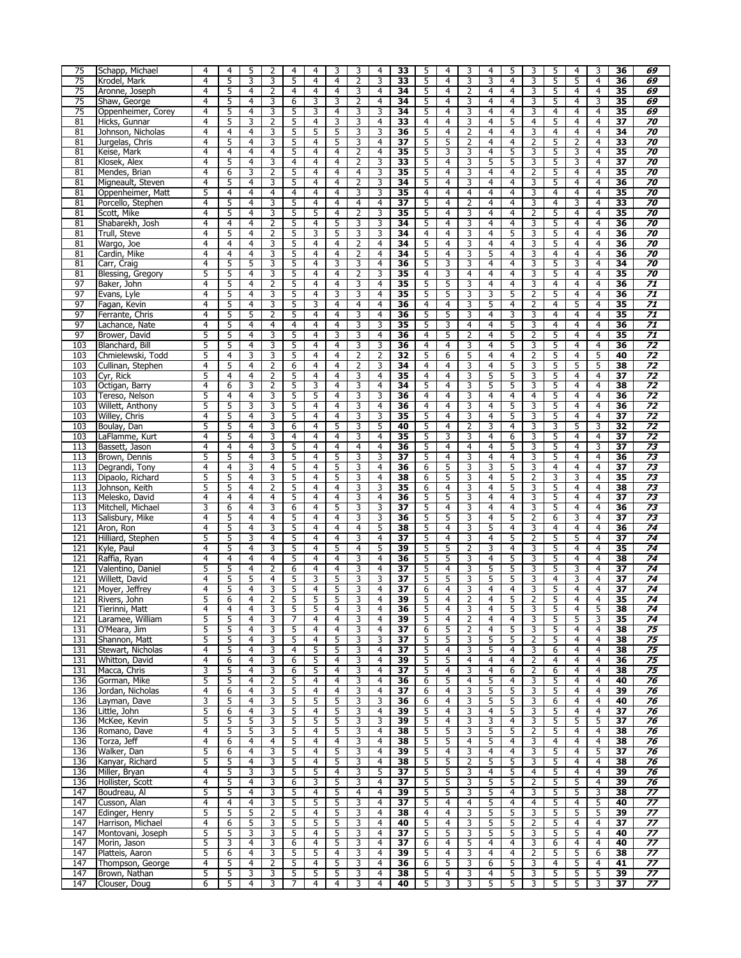| 75               | Schapp, Michael                | $\overline{4}$ | $\overline{4}$      | 5                   | 2              | 4              | $\overline{4}$ | 3                   | 3              | 4              | 33              | 5              | 4              | 3              | 4                   | 5              | 3              | 5              | $\overline{4}$ | 3              | 36              | 69              |
|------------------|--------------------------------|----------------|---------------------|---------------------|----------------|----------------|----------------|---------------------|----------------|----------------|-----------------|----------------|----------------|----------------|---------------------|----------------|----------------|----------------|----------------|----------------|-----------------|-----------------|
| 75               | Krodel, Mark                   | $\overline{4}$ | 5                   | 3                   | 3              | 5              | 4              | 4                   | 2              | 3              | 33              | 5              | 4              | 3              | 3                   | 4              | 3              | 5              | 5              | 4              | 36              | 69              |
| 75               | Aronne, Joseph                 | $\overline{4}$ | 5                   | $\overline{4}$      | $\overline{2}$ | 4              | $\overline{4}$ | 4                   | 3              | 4              | 34              | 5              | $\overline{4}$ | $\overline{2}$ | 4                   | 4              | 3              | 5              | $\overline{4}$ | $\overline{4}$ | $\overline{35}$ | 69              |
|                  |                                |                |                     |                     |                |                |                |                     |                |                |                 |                |                |                |                     |                |                |                |                |                |                 |                 |
| 75               | Shaw, George                   | 4              | 5                   | 4                   | 3              | 6              | 3              | 3                   | $\overline{2}$ | 4              | 34              | 5              | 4              | 3              | 4                   | 4              | 3              | 5              | 4              | 3              | 35              | 69              |
| 75               | Oppenheimer, Corey             | 4              | 5                   | 4                   | 3              | 5              | 3              | 4                   | 3              | 3              | 34              | 5              | 4              | 3              | 4                   | 4              | 3              | 4              | 4              | 4              | 35              | 69              |
| 81               | Hicks, Gunnar                  | $\overline{4}$ | 5                   | 3                   | 2              | 5              | 4              | 3                   | 3              | 4              | 33              | $\overline{4}$ | 4              | 3              | 4                   | 5              | $\overline{4}$ | 5              | 4              | 4              | 37              | 70              |
| 81               | Johnson, Nicholas              | 4              | 4                   | 4                   | 3              | 5              | 5              | 5                   | 3              | 3              | 36              | 5              | 4              | 2              | 4                   | 4              | 3              | 4              | 4              | 4              | 34              | 70              |
| 81               | Jurgelas, Chris                | $\overline{4}$ | 5                   | 4                   | 3              | 5              | $\overline{4}$ | 5                   | 3              | 4              | $\overline{37}$ | 5              | 5              | $\overline{2}$ | 4                   | 4              | $\overline{2}$ | 5              | 2              | 4              | 33              | 70              |
| 81               | Keise, Mark                    | 4              | 4                   | 4                   | 4              | 5              | 4              | 4                   | $\overline{2}$ | 4              | 35              | 5              | 3              | 3              | 4                   | 5              | 3              | 5              | 3              | 4              | 35              | 70              |
| 81               | Klosek, Alex                   | $\overline{4}$ | 5                   | $\overline{4}$      | 3              | 4              | 4              | 4                   | 2              | 3              | 33              | 5              | 4              | 3              | 5                   | 5              | 3              | 5              | 3              | 4              | 37              | 70              |
|                  |                                | $\overline{4}$ | 6                   |                     |                | 5              | $\overline{4}$ | 4                   |                | 3              | 35              | 5              |                | 3              | $\overline{4}$      | 4              |                | 5              |                | 4              | 35              | 70              |
| 81               | Mendes, Brian                  |                |                     | 3                   | $\overline{2}$ |                |                |                     | 4              |                |                 |                | 4              |                |                     |                | $\overline{2}$ |                | 4              |                |                 |                 |
| 81               | Migneault, Steven              | $\overline{4}$ | 5                   | 4                   | 3              | 5              | 4              | 4                   | 2              | 3              | 34              | 5              | 4              | 3              | 4                   | 4              | 3              | 5              | 4              | 4              | 36              | 70              |
| 81               | Oppenheimer, Matt              | 5              | 4                   | 4                   | $\overline{4}$ | $\overline{4}$ | $\overline{4}$ | 4                   | 3              | 3              | $\overline{35}$ | $\overline{4}$ | $\overline{4}$ | $\overline{4}$ | 4                   | 4              | 3              | $\overline{4}$ | $\overline{4}$ | $\overline{4}$ | 35              | 70              |
| 81               | Porcello, Stephen              | 4              | 5                   | 4                   | 3              | 5              | 4              | 4                   | $\overline{4}$ | 4              | 37              | 5              | 4              | 2              | 4                   | 4              | 3              | 4              | 3              | 4              | 33              | 70              |
| 81               | Scott, Mike                    | 4              | 5                   | 4                   | 3              | 5              | 5              | 4                   | 2              | 3              | 35              | 5              | 4              | 3              | 4                   | 4              | 2              | 5              | 4              | 4              | 35              | 70              |
| 81               | Shabarekh, Josh                | $\overline{4}$ | 4                   | 4                   | $\overline{2}$ | 5              | 4              | 5                   | 3              | 3              | 34              | 5              | 4              | 3              | 4                   | 4              | 3              | 5              | 4              | 4              | 36              | 70              |
| 81               | Trull, Steve                   | 4              | 5                   | 4                   | $\overline{2}$ | 5              | 3              | 5                   | 3              | 3              | 34              | 4              | 4              | 3              | 4                   | 5              | 3              | 5              | 4              | 4              | 36              | 70              |
|                  |                                | $\overline{4}$ | $\overline{4}$      | $\overline{4}$      | $\overline{3}$ |                |                |                     |                |                | 34              | 5              | $\overline{4}$ | 3              |                     |                | 3              | 5              |                | $\overline{4}$ |                 | 70              |
| 81               | Wargo, Joe                     |                |                     |                     |                | 5              | $\overline{4}$ | 4                   | $\overline{2}$ | 4              |                 |                |                |                | 4                   | 4              |                |                | $\overline{4}$ |                | 36              |                 |
| 81               | Cardin, Mike                   | 4              | 4                   | 4                   | 3              | 5              | 4              | 4                   | $\overline{2}$ | 4              | 34              | 5              | 4              | 3              | 5                   | 4              | 3              | 4              | 4              | 4              | $\overline{36}$ | 70              |
| 81               | Carr, Craig                    | $\overline{4}$ | 5                   | 5                   | 3              | 5              | 4              | 3                   | 3              | 4              | 36              | 5              | 3              | 3              | 4                   | $\overline{4}$ | 3              | 5              | 3              | 4              | 34              | 70              |
| 81               | Blessing, Gregory              | 5              | 5                   | $\overline{4}$      | 3              | 5              | 4              | 4                   | $\overline{2}$ | 3              | 35              | $\overline{4}$ | 3              | $\overline{4}$ | 4                   | 4              | 3              | 5              | 4              | 4              | 35              | 70              |
| 97               | Baker, John                    | $\overline{4}$ | 5                   | 4                   | $\overline{2}$ | 5              | 4              | 4                   | 3              | 4              | $\overline{35}$ | 5              | 5              | 3              | 4                   | 4              | 3              | 4              | 4              | 4              | 36              | 71              |
| 97               | Evans, Lyle                    | $\overline{4}$ | 5                   | 4                   | 3              | 5              | $\overline{4}$ | 3                   | 3              | 4              | $\overline{35}$ | 5              | 5              | 3              | 3                   | 5              | $\overline{2}$ | 5              | $\overline{4}$ | $\overline{4}$ | 36              | $\overline{71}$ |
| 97               | Fagan, Kevin                   | 4              | 5                   | 4                   | 3              | 5              | 3              | 4                   | 4              | 4              | 36              | $\overline{4}$ | 4              | 3              | 5                   | 4              | $\overline{2}$ | 4              | 5              | 4              | 35              | 71              |
|                  |                                |                |                     |                     |                |                |                |                     |                |                |                 |                |                |                |                     |                |                |                |                |                |                 |                 |
| 97               | Ferrante, Chris                | 4              | 5                   | 5                   | 2              | 5              | $\overline{4}$ | 4                   | 3              | 4              | 36              | 5              | 5              | 3              | 4                   | 3              | 3              | 4              | 4              | 4              | 35              | 71              |
| 97               | Lachance, Nate                 | $\overline{4}$ | 5                   | 4                   | 4              | $\overline{4}$ | 4              | 4                   | 3              | 3              | 35              | 5              | 3              | $\overline{4}$ | 4                   | 5              | 3              | $\overline{4}$ | 4              | 4              | 36              | 71              |
| 97               | Brower, David                  | 5              | 5                   | 4                   | 3              | 5              | $\overline{4}$ | 3                   | 3              | 4              | $\overline{36}$ | 4              | 5              | 2              | 4                   | 5              | 2              | 5              | 4              | 4              | 35              | 71              |
| 103              | Blanchard, Bill                | 5              | 5                   | 4                   | $\overline{3}$ | 5              | $\overline{4}$ | 4                   | 3              | 3              | 36              | 4              | $\overline{4}$ | 3              | 4                   | 5              | $\overline{3}$ | 5              | $\overline{4}$ | $\overline{4}$ | 36              | $\overline{72}$ |
| 103              | Chmielewski, Todd              | 5              | 4                   | 3                   | 3              | 5              | 4              | 4                   | $\overline{2}$ | $\overline{2}$ | 32              | 5              | $\overline{6}$ | 5              | 4                   | 4              | $\overline{2}$ | 5              | 4              | 5              | 40              | 72              |
| 103              | Cullinan, Stephen              | 4              | 5                   | 4                   | 2              | 6              | 4              | 4                   | $\overline{2}$ | 3              | 34              | 4              | 4              | 3              | 4                   | 5              | 3              | 5              | 5              | 5              | 38              | 72              |
| 103              | Cyr, Rick                      | 5              | 4                   | 4                   | 2              | 5              | $\overline{4}$ | 4                   | 3              | 4              | 35              | $\overline{4}$ | 4              | 3              | 5                   | 5              | 3              | 5              | 4              | 4              | 37              | 72              |
| 103              |                                |                |                     | 3                   |                | 5              | 3              |                     |                |                |                 | 5              |                |                | 5                   |                | 3              | 5              |                |                |                 | 72              |
|                  | Octigan, Barry                 | 4              | 6                   |                     | $\overline{2}$ |                |                | 4                   | 3              | 4              | 34              |                | 4              | 3              |                     | 5              |                |                | 4              | 4              | 38              |                 |
| 103              | Tereso, Nelson                 | 5              | 4                   | 4                   | 3              | 5              | 5              | 4                   | 3              | 3              | 36              | 4              | $\overline{4}$ | 3              | 4                   | 4              | $\overline{4}$ | 5              | $\overline{4}$ | $\overline{4}$ | 36              | $\overline{72}$ |
| 103              | Willett, Anthony               | 5              | 5                   | 3                   | 3              | 5              | 4              | 4                   | 3              | 4              | 36              | $\overline{4}$ | 4              | 3              | 4                   | 5              | 3              | 5              | 4              | 4              | 36              | 72              |
| 103              | Willey, Chris                  | $\overline{4}$ | 5                   | 4                   | 3              | 5              | 4              | 4                   | 3              | 3              | 35              | 5              | 4              | 3              | 4                   | 5              | 3              | 5              | 4              | 4              | 37              | 72              |
| 103              | Boulay, Dan                    | 5              | 5                   | $\overline{4}$      | 3              | 6              | 4              | 5                   | 3              | 5              | 40              | 5              | 4              | $\overline{2}$ | 3                   | $\overline{4}$ | 3              | 3              | 5              | 3              | 32              | 72              |
| 103              | LaFlamme, Kurt                 | $\overline{4}$ | 5                   | 4                   | 3              | 4              | 4              | 4                   | 3              | 4              | 35              | 5              | 3              | 3              | 4                   | 6              | 3              | 5              | 4              | 4              | $\overline{37}$ | 72              |
| 113              | Bassett, Jason                 | $\overline{4}$ | 4                   | 4                   | $\overline{3}$ | 5              | $\overline{4}$ | 4                   | $\overline{4}$ | 4              | 36              | 5              | 4              | $\overline{4}$ | 4                   | 5              | 3              | 5              | $\overline{4}$ | 3              | $\overline{37}$ | 73              |
|                  |                                |                |                     |                     |                |                |                |                     |                |                |                 |                |                |                |                     |                |                |                |                |                |                 |                 |
| 113              | Brown, Dennis                  | 5              | 5                   | 4                   | 3              | 5              | 4              | 5                   | 3              | 3              | 37              | 5              | 4              | 3              | 4                   | 4              | 3              | 5              | 4              | 4              | 36              | 73              |
| 113              | Degrandi, Tony                 | 4              | 4                   | 3                   | 4              | 5              | 4              | 5                   | 3              | 4              | 36              | 6              | 5              | 3              | 3                   | 5              | 3              | 4              | 4              | 4              | $\overline{37}$ | $\overline{73}$ |
| 113              | Dipaolo, Richard               | 5              | 5                   | 4                   | 3              | 5              | 4              | 5                   | 3              | 4              | 38              | 6              | 5              | 3              | 4                   | 5              | $\overline{2}$ | 3              | 3              | 4              | 35              | 73              |
| 113              | Johnson, Keith                 | 5              | 5                   | 4                   | $\overline{2}$ | 5              | 4              | 4                   | 3              | 3              | 35              | 6              | 4              | 3              | 4                   | 5              | 3              | 5              | 4              | 4              | 38              | 73              |
| 113              | Melesko, David                 | $\overline{4}$ | $\overline{4}$      | $\overline{4}$      | 4              | 5              | $\overline{4}$ | 4                   | 3              | 4              | 36              | 5              | 5              | 3              | $\overline{4}$      | 4              | 3              | 5              | $\overline{4}$ | 4              | $\overline{37}$ | 73              |
| 113              | Mitchell, Michael              | 3              | 6                   | 4                   | 3              | 6              | 4              | 5                   | 3              | 3              | 37              | 5              | 4              | 3              | 4                   | 4              | 3              | 5              | 4              | 4              | 36              | 73              |
| 113              | Salisbury, Mike                | $\overline{4}$ | 5                   | 4                   | 4              | 5              | 4              | 4                   | 3              | 3              | 36              | 5              | 5              | 3              | 4                   | 5              | $\overline{2}$ | 6              | 3              | 4              | 37              | 73              |
|                  |                                | $\overline{4}$ | 5                   | $\overline{4}$      |                | 5              | $\overline{4}$ | 4                   |                |                | 38              | 5              |                |                |                     | 4              |                |                |                | 4              | 36              | 74              |
| 121              | Aron, Ron                      |                |                     |                     | 3              |                |                |                     | 4              | 5              |                 |                | 4              | 3              | 5                   |                | 3              | 4              | 4              |                |                 |                 |
| 121              | Hilliard, Stephen              | 5              | 5                   | 3                   | 4              | 5              | 4              | 4                   | 3              | 4              | 37              | 5              | 4              | 3              | 4                   | 5              | $\overline{2}$ | 5              | 5              | 4              | 37              | 74              |
| 121              | Kyle, Paul                     | $\overline{4}$ | 5                   | $\overline{4}$      | 3              | 5              | $\overline{4}$ | 5                   | $\overline{4}$ | 5              | 39              | 5              | 5              | $\overline{2}$ | 3                   | 4              | 3              | 5              | $\overline{4}$ | $\overline{4}$ | 35              | 74              |
| 121              | Raffia, Ryan                   | 4              | 4                   | 4                   | $\overline{4}$ | 5              | 4              | 4                   | 3              | 4              | 36              | 5              | 5              | 3              | $\overline{4}$      | 5              | 3              | 5              | 4              | $\overline{4}$ | 38              | $\overline{74}$ |
| 121              | Valentino, Daniel              | 5              | 5                   | 4                   | 2              | 6              | $\overline{4}$ | 4                   | 3              | 4              | $\overline{37}$ | 5              | 4              | 3              | 5                   | 5              | 3              | 5              | 3              | 4              | $\overline{37}$ | 74              |
| 121              | Willett, David                 | $\overline{4}$ | 5                   | 5                   | 4              | 5              | 3              | 5                   | 3              | 3              | 37              | 5              | 5              | 3              | 5                   | 5              | 3              | $\overline{4}$ | 3              | 4              | 37              | 74              |
| 121              | Moyer, Jeffrey                 | 4              | 5                   | 4                   | 3              | 5              | 4              | 5                   | 3              | 4              | $\overline{37}$ | 6              | 4              | 3              | 4                   | 4              | 3              | 5              | 4              | 4              | 37              | 74              |
|                  |                                | 5              |                     | $\overline{4}$      | $\overline{2}$ | 5              | 5              | 5                   | 3              |                | 39              |                | $\overline{4}$ | $\overline{2}$ |                     | 5              | $\overline{2}$ | 5              | $\overline{4}$ |                | $\overline{35}$ | $\overline{74}$ |
| 121              | Rivers, John                   |                | 6                   |                     |                |                |                |                     |                | 4              |                 | 5              |                |                | 4                   |                |                |                |                | 4              |                 |                 |
| 121              | Tierinni, Matt                 | 4              | 4                   | 4                   | 3              | 5              | 5              | 4                   | 3              | 4              | 36              | 5              | 4              | 3              | 4                   | 5              | 3              | 5              | 4              | 5              | 38              | 74              |
| 121              | Laramee, William               | 5              | 5                   | 4                   | 3              | 7              | 4              | 4                   | 3              | 4              | 39              | 5              | 4              | $\overline{2}$ | 4                   | 4              | 3              | 5              | 5              | 3              | 35              | 74              |
| 131              | O'Meara, Jim                   | 5              | 5                   | 4                   | 3              | 5              | 4              | 4                   | 3              | 4              | 37              | 6              | 5              | $\overline{2}$ | 4                   | 5              | 3              | 5              | 4              | 4              | 38              | 75              |
| 131              | Shannon, Matt                  | 5              | 5                   | 4                   | 3              | 5              | 4              | 5                   | 3              | 3              | 37              | 5              | 5              | 3              | 5                   | 5              | 2              | 5              | 4              | 4              | 38              | 75              |
| 131              | Stewart, Nicholas              | $\overline{4}$ | 5                   | 4                   | 3              | 4              | 5              | 5                   | 3              | 4              | 37              | 5              | 4              | 3              | 5                   | 4              | 3              | 6              | 4              | 4              | 38              | 75              |
| 131              | Whitton, David                 | 4              | 6                   | 4                   | 3              | 6              | 5              | 4                   | 3              | 4              | 39              | 5              | 5              | $\overline{4}$ | 4                   | 4              | 2              | 4              | 4              | 4              | 36              | 75              |
|                  |                                | 3              | 5                   | 4                   | 3              | 6              | 5              | 4                   |                | 4              | 37              | 5              | 4              | 3              |                     | 6              | $\overline{2}$ | 6              | 4              |                |                 | 75              |
| 131              | Macca, Chris                   |                |                     |                     |                |                |                |                     | 3              |                |                 |                |                |                | 4                   |                |                |                |                | 4              | 38              |                 |
| 136              | Gorman, Mike                   | 5              | 5                   | 4                   | 2              | 5              | 4              | 4                   | 3              | 4              | 36              | 6              | 5              | 4              | 5                   | 4              | 3              | 5              | 4              | 4              | 40              | 76              |
| 136              |                                |                |                     |                     |                | 5              | 4              | 4                   | 3              | 4              | 37              | 6              | 4              | 3              | 5                   | 5              | 3              | 5              | 4              | 4              | 39              | 76              |
| 136              | Jordan, Nicholas               | 4              | 6                   | 4                   | 3              |                |                |                     |                |                |                 |                |                |                |                     |                |                |                |                |                |                 | 76              |
|                  | Layman, Dave                   | 3              | 5                   | 4                   | 3              | 5              | 5              | 5                   | 3              | 3              | 36              | 6              | 4              | 3              | 5                   | 5              | 3              | 6              | 4              | 4              | 40              |                 |
| 136              | Little, John                   | 5              | 6                   | 4                   | 3              | 5              | 4              | 5                   | 3              | 4              | 39              | 5              | 4              | 3              | 4                   | 5              | 3              | 5              | 4              | 4              | 37              | 76              |
|                  |                                |                |                     |                     |                |                |                |                     |                |                |                 |                |                |                |                     |                |                |                |                |                |                 |                 |
| 136              | McKee, Kevin                   | 5              | 5                   | 5                   | 3              | 5              | 5              | 5                   | 3              | 3              | 39              | 5              | 4              | 3              | 3                   | 4              | 3              | 5              | 5              | 5              | 37              | 76              |
| 136              | Romano, Dave                   | 4              | 5                   | 5                   | 3              | 5              | 4              | 5                   | 3              | 4              | 38              | 5              | 5              | 3              | 5                   | 5              | 2              | 5              | 4              | 4              | 38              | 76              |
| 136              | Torza, Jeff                    | $\overline{4}$ | 6                   | 4                   | 4              | 5              | 4              | 4                   | 3              | 4              | 38              | 5              | 5              | 4              | 5                   | 4              | 3              | 4              | 4              | 4              | 38              | 76              |
| 136              | Walker, Dan                    | 5              | 6                   | 4                   | 3              | 5              | 4              | 5                   | 3              | 4              | 39              | 5              | 4              | 3              | 4                   | 4              | 3              | 5              | 4              | 5              | 37              | 76              |
| 136              | Kanyar, Richard                | 5              | 5                   | 4                   | 3              | 5              | 4              | 5                   | 3              | 4              | 38              | 5              | 5              | $\overline{2}$ | 5                   | 5              | 3              | 5              | 4              | 4              | 38              | 76              |
| 136              | Miller, Bryan                  | 4              | 5                   | 3                   | 3              | 5              | 5              | 4                   | 3              | 5              | 37              | 5              | 5              | 3              | 4                   | 5              | $\overline{4}$ | 5              | $\overline{4}$ | 4              | 39              | 76              |
| 136              | Hollister, Scott               | 4              | 5                   | 4                   | 3              | 6              | 3              | 5                   | 3              | 4              | 37              | 5              | 5              | 3              | 5                   | 5              | 2              | 5              | 5              | 4              | 39              | 76              |
|                  |                                |                |                     |                     |                |                |                |                     |                |                |                 |                |                |                |                     |                |                |                |                |                |                 |                 |
| $\overline{147}$ | Boudreau, Al                   | 5              | 5                   | 4                   | 3              | 5              | 4              | 5                   | $\overline{4}$ | 4              | 39              | 5              | 5              | 3              | 5                   | 4              | 3              | 5              | 5              | 3              | 38              | 77              |
| 147              | Cusson, Alan                   | $\overline{4}$ | 4                   | 4                   | 3              | 5              | 5              | 5                   | 3              | 4              | 37              | 5              | 4              | 4              | 5                   | 4              | $\overline{4}$ | 5              | 4              | 5              | 40              | 77              |
| 147              | Edinger, Henry                 | 5              | 5                   | 5                   | $\overline{2}$ | 5              | 4              | 5                   | 3              | 4              | 38              | 4              | 4              | 3              | 5                   | 5              | 3              | 5              | 5              | 5              | 39              | 77              |
| 147              | Harrison, Michael              | 4              | 6                   | 5                   | 3              | 5              | 5              | 5                   | 3              | 4              | 40              | 5              | 4              | 3              | 5                   | 5              | $\overline{2}$ | 5              | 4              | 4              | 37              | 77              |
| 147              | Montovani, Joseph              | 5              | 5                   | 3                   | 3              | 5              | 4              | 5                   | 3              | 4              | 37              | 5              | 5              | 3              | 5                   | 5              | 3              | 5              | 5              | 4              | 40              | 77              |
| 147              | Morin, Jason                   | 5              | 3                   | 4                   | 3              | 6              | 4              | 5                   | 3              | 4              | 37              | 6              | 4              | 5              | 4                   | 4              | 3              | 6              | 4              | 4              | 40              | $\overline{77}$ |
| 147              | Platteis, Aaron                | 5              | 6                   | 4                   | 3              | 5              | 5              | 4                   | 3              | 4              | 39              | 5              | 4              | 3              | 4                   | 4              | $\overline{2}$ | 5              | 5              | 6              | 38              | 77              |
|                  |                                |                |                     |                     |                |                |                |                     |                |                |                 |                |                |                |                     |                |                |                |                |                |                 |                 |
| 147              | Thompson, George               | 4              | 5                   | 4                   | $\overline{2}$ | 5              | 4              | 5                   | 3              | 4              | 36              | 6              | 5              | 3              | 6                   | 5              | 3              | 4              | 5              | 4              | 41              | 77              |
| 147<br>147       | Brown, Nathan<br>Clouser, Doug | 5<br>6         | 5<br>$\overline{5}$ | 3<br>$\overline{4}$ | 3<br>3         | 5<br>7         | 5<br>4         | 5<br>$\overline{4}$ | 3<br>3         | 4<br>4         | 38<br>40        | 5<br>5         | 4<br>3         | 3<br>3         | 4<br>$\overline{5}$ | 5<br>5         | 3<br>3         | 5<br>5         | 5<br>5         | 5<br>3         | 39<br>37        | 77<br>77        |